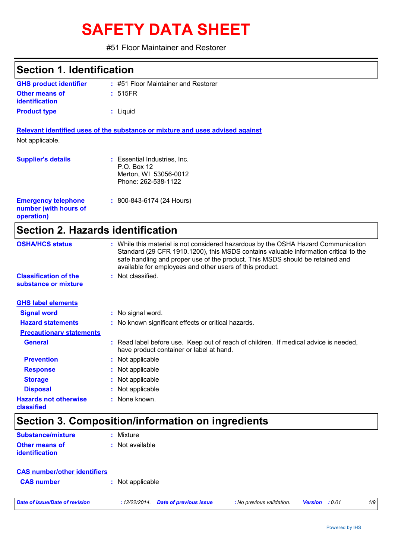# **SAFETY DATA SHEET**

#51 Floor Maintainer and Restorer

| <b>Section 1. Identification</b>                                  |                                                                                                                                                                                                                                                                                                                         |
|-------------------------------------------------------------------|-------------------------------------------------------------------------------------------------------------------------------------------------------------------------------------------------------------------------------------------------------------------------------------------------------------------------|
| <b>GHS product identifier</b>                                     | : #51 Floor Maintainer and Restorer                                                                                                                                                                                                                                                                                     |
| <b>Other means of</b><br>identification                           | : 515FR                                                                                                                                                                                                                                                                                                                 |
| <b>Product type</b>                                               | : Liquid                                                                                                                                                                                                                                                                                                                |
|                                                                   | Relevant identified uses of the substance or mixture and uses advised against                                                                                                                                                                                                                                           |
| Not applicable.                                                   |                                                                                                                                                                                                                                                                                                                         |
| <b>Supplier's details</b>                                         | : Essential Industries, Inc.<br>P.O. Box 12<br>Merton, WI 53056-0012<br>Phone: 262-538-1122                                                                                                                                                                                                                             |
| <b>Emergency telephone</b><br>number (with hours of<br>operation) | : 800-843-6174 (24 Hours)                                                                                                                                                                                                                                                                                               |
| <b>Section 2. Hazards identification</b>                          |                                                                                                                                                                                                                                                                                                                         |
| <b>OSHA/HCS status</b>                                            | : While this material is not considered hazardous by the OSHA Hazard Communication<br>Standard (29 CFR 1910.1200), this MSDS contains valuable information critical to the<br>safe handling and proper use of the product. This MSDS should be retained and<br>available for employees and other users of this product. |
| <b>Classification of the</b><br>substance or mixture              | : Not classified.                                                                                                                                                                                                                                                                                                       |
| <b>GHS label elements</b>                                         |                                                                                                                                                                                                                                                                                                                         |
| <b>Signal word</b>                                                | : No signal word.                                                                                                                                                                                                                                                                                                       |
| <b>Hazard statements</b>                                          | : No known significant effects or critical hazards.                                                                                                                                                                                                                                                                     |
| <b>Precautionary statements</b>                                   |                                                                                                                                                                                                                                                                                                                         |
| <b>General</b>                                                    | : Read label before use. Keep out of reach of children. If medical advice is needed,<br>have product container or label at hand.                                                                                                                                                                                        |
| <b>Prevention</b>                                                 | : Not applicable                                                                                                                                                                                                                                                                                                        |
| <b>Response</b>                                                   | : Not applicable                                                                                                                                                                                                                                                                                                        |
| <b>Storage</b>                                                    | : Not applicable                                                                                                                                                                                                                                                                                                        |
| <b>Disposal</b>                                                   | Not applicable                                                                                                                                                                                                                                                                                                          |
| <b>Hazards not otherwise</b>                                      | None known.                                                                                                                                                                                                                                                                                                             |

# **Section 3. Composition/information on ingredients**

| <b>Substance/mixture</b>                       | : Mixture         |
|------------------------------------------------|-------------------|
| <b>Other means of</b><br><i>identification</i> | $:$ Not available |

| <b>CAS number/other identifiers</b> |                  |  |
|-------------------------------------|------------------|--|
| <b>CAS number</b>                   | : Not applicable |  |
|                                     |                  |  |

*Date of issue/Date of revision* **:** *12/22/2014. Date of previous issue : No previous validation. Version : 0.01 1/9*

**classified**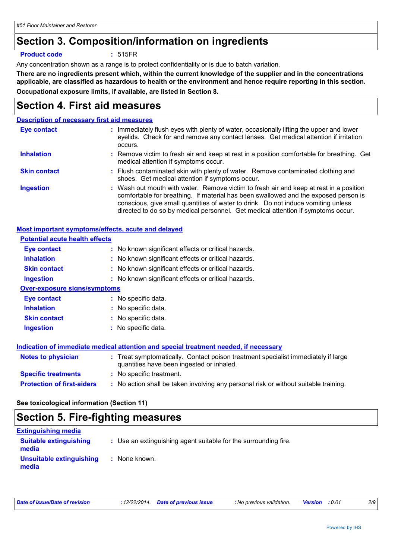### **Section 3. Composition/information on ingredients**

#### **Product code :** 515FR

Any concentration shown as a range is to protect confidentiality or is due to batch variation.

**There are no ingredients present which, within the current knowledge of the supplier and in the concentrations applicable, are classified as hazardous to health or the environment and hence require reporting in this section. Occupational exposure limits, if available, are listed in Section 8.**

### **Section 4. First aid measures**

#### **Description of necessary first aid measures**

| Eye contact         | : Immediately flush eyes with plenty of water, occasionally lifting the upper and lower<br>eyelids. Check for and remove any contact lenses. Get medical attention if irritation<br>occurs.                                                                                                                                                            |
|---------------------|--------------------------------------------------------------------------------------------------------------------------------------------------------------------------------------------------------------------------------------------------------------------------------------------------------------------------------------------------------|
| <b>Inhalation</b>   | : Remove victim to fresh air and keep at rest in a position comfortable for breathing. Get<br>medical attention if symptoms occur.                                                                                                                                                                                                                     |
| <b>Skin contact</b> | : Flush contaminated skin with plenty of water. Remove contaminated clothing and<br>shoes. Get medical attention if symptoms occur.                                                                                                                                                                                                                    |
| <b>Ingestion</b>    | : Wash out mouth with water. Remove victim to fresh air and keep at rest in a position<br>comfortable for breathing. If material has been swallowed and the exposed person is<br>conscious, give small quantities of water to drink. Do not induce vomiting unless<br>directed to do so by medical personnel. Get medical attention if symptoms occur. |

| Most important symptoms/effects, acute and delayed |                                                                                                                                |
|----------------------------------------------------|--------------------------------------------------------------------------------------------------------------------------------|
| <b>Potential acute health effects</b>              |                                                                                                                                |
| <b>Eye contact</b>                                 | : No known significant effects or critical hazards.                                                                            |
| <b>Inhalation</b>                                  | : No known significant effects or critical hazards.                                                                            |
| <b>Skin contact</b>                                | : No known significant effects or critical hazards.                                                                            |
| <b>Ingestion</b>                                   | : No known significant effects or critical hazards.                                                                            |
| <b>Over-exposure signs/symptoms</b>                |                                                                                                                                |
| Eye contact                                        | : No specific data.                                                                                                            |
| <b>Inhalation</b>                                  | : No specific data.                                                                                                            |
| <b>Skin contact</b>                                | : No specific data.                                                                                                            |
| <b>Ingestion</b>                                   | : No specific data.                                                                                                            |
|                                                    |                                                                                                                                |
|                                                    | <b>Indication of immediate medical attention and special treatment needed, if necessary</b>                                    |
| <b>Notes to physician</b>                          | : Treat symptomatically. Contact poison treatment specialist immediately if large<br>quantities have been ingested or inhaled. |
| <b>Specific treatments</b>                         | : No specific treatment.                                                                                                       |
| <b>Protection of first-aiders</b>                  | : No action shall be taken involving any personal risk or without suitable training.                                           |

#### **See toxicological information (Section 11)**

### **Section 5. Fire-fighting measures**

| <b>Extinguishing media</b>             |                                                                 |
|----------------------------------------|-----------------------------------------------------------------|
| <b>Suitable extinguishing</b><br>media | : Use an extinguishing agent suitable for the surrounding fire. |
| Unsuitable extinguishing<br>media      | : None known.                                                   |

| Date of issue/Date of revision | : 12/22/2014. Date of previous issue | : No previous validation. | <b>Version</b> : 0.01 |  |
|--------------------------------|--------------------------------------|---------------------------|-----------------------|--|
|--------------------------------|--------------------------------------|---------------------------|-----------------------|--|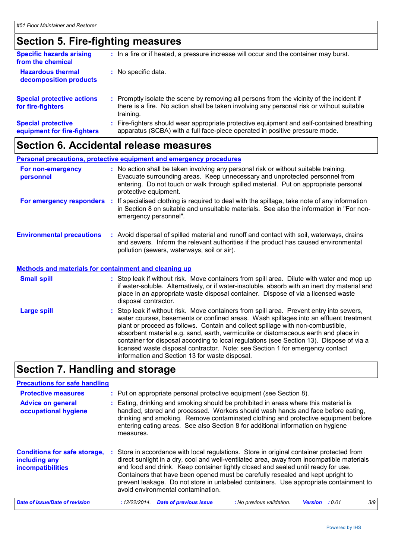# **Section 5. Fire-fighting measures**

| <b>Specific hazards arising</b><br>from the chemical     | : In a fire or if heated, a pressure increase will occur and the container may burst.                                                                                                               |
|----------------------------------------------------------|-----------------------------------------------------------------------------------------------------------------------------------------------------------------------------------------------------|
| <b>Hazardous thermal</b><br>decomposition products       | : No specific data.                                                                                                                                                                                 |
| <b>Special protective actions</b><br>for fire-fighters   | : Promptly isolate the scene by removing all persons from the vicinity of the incident if<br>there is a fire. No action shall be taken involving any personal risk or without suitable<br>training. |
| <b>Special protective</b><br>equipment for fire-fighters | : Fire-fighters should wear appropriate protective equipment and self-contained breathing<br>apparatus (SCBA) with a full face-piece operated in positive pressure mode.                            |

### **Section 6. Accidental release measures**

| <b>Personal precautions, protective equipment and emergency procedures</b>                       |                       |                                                                                                                                                                                                                                                                                                                                                                                                                                                                                                                                          |
|--------------------------------------------------------------------------------------------------|-----------------------|------------------------------------------------------------------------------------------------------------------------------------------------------------------------------------------------------------------------------------------------------------------------------------------------------------------------------------------------------------------------------------------------------------------------------------------------------------------------------------------------------------------------------------------|
| For non-emergency<br>personnel                                                                   | protective equipment. | : No action shall be taken involving any personal risk or without suitable training.<br>Evacuate surrounding areas. Keep unnecessary and unprotected personnel from<br>entering. Do not touch or walk through spilled material. Put on appropriate personal                                                                                                                                                                                                                                                                              |
| For emergency responders                                                                         | emergency personnel". | : If specialised clothing is required to deal with the spillage, take note of any information<br>in Section 8 on suitable and unsuitable materials. See also the information in "For non-                                                                                                                                                                                                                                                                                                                                                |
| <b>Environmental precautions</b><br><b>Methods and materials for containment and cleaning up</b> |                       | : Avoid dispersal of spilled material and runoff and contact with soil, waterways, drains<br>and sewers. Inform the relevant authorities if the product has caused environmental<br>pollution (sewers, waterways, soil or air).                                                                                                                                                                                                                                                                                                          |
|                                                                                                  |                       |                                                                                                                                                                                                                                                                                                                                                                                                                                                                                                                                          |
| <b>Small spill</b>                                                                               | disposal contractor.  | : Stop leak if without risk. Move containers from spill area. Dilute with water and mop up<br>if water-soluble. Alternatively, or if water-insoluble, absorb with an inert dry material and<br>place in an appropriate waste disposal container. Dispose of via a licensed waste                                                                                                                                                                                                                                                         |
| <b>Large spill</b>                                                                               |                       | : Stop leak if without risk. Move containers from spill area. Prevent entry into sewers,<br>water courses, basements or confined areas. Wash spillages into an effluent treatment<br>plant or proceed as follows. Contain and collect spillage with non-combustible,<br>absorbent material e.g. sand, earth, vermiculite or diatomaceous earth and place in<br>container for disposal according to local regulations (see Section 13). Dispose of via a<br>licensed waste disposal contractor. Note: see Section 1 for emergency contact |

# **Section 7. Handling and storage**

| <b>Precautions for safe handling</b>                                             |                                                                                                                                                                                                                                                                                                                                                                                                                                                                                            |  |  |
|----------------------------------------------------------------------------------|--------------------------------------------------------------------------------------------------------------------------------------------------------------------------------------------------------------------------------------------------------------------------------------------------------------------------------------------------------------------------------------------------------------------------------------------------------------------------------------------|--|--|
| <b>Protective measures</b>                                                       | : Put on appropriate personal protective equipment (see Section 8).                                                                                                                                                                                                                                                                                                                                                                                                                        |  |  |
| <b>Advice on general</b><br>occupational hygiene                                 | : Eating, drinking and smoking should be prohibited in areas where this material is<br>handled, stored and processed. Workers should wash hands and face before eating,<br>drinking and smoking. Remove contaminated clothing and protective equipment before<br>entering eating areas. See also Section 8 for additional information on hygiene<br>measures.                                                                                                                              |  |  |
| <b>Conditions for safe storage,</b><br>including any<br><b>incompatibilities</b> | Store in accordance with local regulations. Store in original container protected from<br>direct sunlight in a dry, cool and well-ventilated area, away from incompatible materials<br>and food and drink. Keep container tightly closed and sealed until ready for use.<br>Containers that have been opened must be carefully resealed and kept upright to<br>prevent leakage. Do not store in unlabeled containers. Use appropriate containment to<br>avoid environmental contamination. |  |  |
| Date of issue/Date of revision                                                   | 3/9<br><b>Date of previous issue</b><br>: 12/22/2014.<br>: No previous validation.<br>: 0.01<br><b>Version</b>                                                                                                                                                                                                                                                                                                                                                                             |  |  |

information and Section 13 for waste disposal.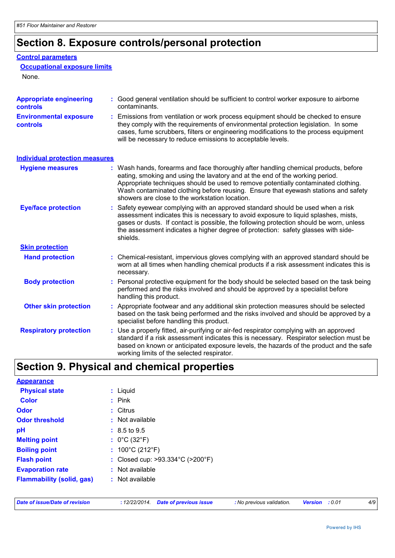# **Section 8. Exposure controls/personal protection**

#### **Control parameters**

#### **Occupational exposure limits**

None.

| <b>Appropriate engineering</b><br>controls | : Good general ventilation should be sufficient to control worker exposure to airborne<br>contaminants.                                                                                                                                                                                                                                                                                           |  |  |
|--------------------------------------------|---------------------------------------------------------------------------------------------------------------------------------------------------------------------------------------------------------------------------------------------------------------------------------------------------------------------------------------------------------------------------------------------------|--|--|
| <b>Environmental exposure</b><br>controls  | : Emissions from ventilation or work process equipment should be checked to ensure<br>they comply with the requirements of environmental protection legislation. In some<br>cases, fume scrubbers, filters or engineering modifications to the process equipment<br>will be necessary to reduce emissions to acceptable levels.                                                                   |  |  |
| <b>Individual protection measures</b>      |                                                                                                                                                                                                                                                                                                                                                                                                   |  |  |
| <b>Hygiene measures</b>                    | : Wash hands, forearms and face thoroughly after handling chemical products, before<br>eating, smoking and using the lavatory and at the end of the working period.<br>Appropriate techniques should be used to remove potentially contaminated clothing.<br>Wash contaminated clothing before reusing. Ensure that eyewash stations and safety<br>showers are close to the workstation location. |  |  |
| <b>Eye/face protection</b>                 | : Safety eyewear complying with an approved standard should be used when a risk<br>assessment indicates this is necessary to avoid exposure to liquid splashes, mists,<br>gases or dusts. If contact is possible, the following protection should be worn, unless<br>the assessment indicates a higher degree of protection: safety glasses with side-<br>shields.                                |  |  |
| <b>Skin protection</b>                     |                                                                                                                                                                                                                                                                                                                                                                                                   |  |  |
| <b>Hand protection</b>                     | : Chemical-resistant, impervious gloves complying with an approved standard should be<br>worn at all times when handling chemical products if a risk assessment indicates this is<br>necessary.                                                                                                                                                                                                   |  |  |
| <b>Body protection</b>                     | : Personal protective equipment for the body should be selected based on the task being<br>performed and the risks involved and should be approved by a specialist before<br>handling this product.                                                                                                                                                                                               |  |  |
| <b>Other skin protection</b>               | : Appropriate footwear and any additional skin protection measures should be selected<br>based on the task being performed and the risks involved and should be approved by a<br>specialist before handling this product.                                                                                                                                                                         |  |  |
| <b>Respiratory protection</b>              | : Use a properly fitted, air-purifying or air-fed respirator complying with an approved<br>standard if a risk assessment indicates this is necessary. Respirator selection must be<br>based on known or anticipated exposure levels, the hazards of the product and the safe<br>working limits of the selected respirator.                                                                        |  |  |

# **Section 9. Physical and chemical properties**

| <b>Appearance</b>                |                                                       |
|----------------------------------|-------------------------------------------------------|
| <b>Physical state</b>            | : Liquid                                              |
| <b>Color</b>                     | $:$ Pink                                              |
| Odor                             | : Citrus                                              |
| <b>Odor threshold</b>            | $\cdot$ Not available                                 |
| рH                               | $: 8.5 \text{ to } 9.5$                               |
| <b>Melting point</b>             | : $0^{\circ}$ C (32 $^{\circ}$ F)                     |
| <b>Boiling point</b>             | : $100^{\circ}$ C (212 $^{\circ}$ F)                  |
| <b>Flash point</b>               | : Closed cup: $>93.334^{\circ}$ C ( $>200^{\circ}$ F) |
| <b>Evaporation rate</b>          | : Not available                                       |
| <b>Flammability (solid, gas)</b> | $:$ Not available                                     |

|  | Date of issue/Date of revision |  |
|--|--------------------------------|--|
|--|--------------------------------|--|

*Date of issue/Date of revision* **:** *12/22/2014. Date of previous issue : No previous validation. Version : 0.01 4/9*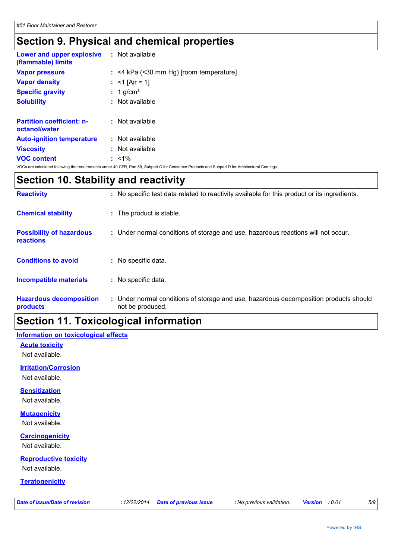# **Section 9. Physical and chemical properties**

| Lower and upper explosive<br>(flammable) limits   | : Not available                                                                                                                                 |
|---------------------------------------------------|-------------------------------------------------------------------------------------------------------------------------------------------------|
| <b>Vapor pressure</b>                             | $:$ <4 kPa (<30 mm Hg) [room temperature]                                                                                                       |
| <b>Vapor density</b>                              | : $<$ 1 [Air = 1]                                                                                                                               |
| <b>Specific gravity</b>                           | $: 1$ g/cm <sup>3</sup>                                                                                                                         |
| <b>Solubility</b>                                 | : Not available                                                                                                                                 |
|                                                   |                                                                                                                                                 |
| <b>Partition coefficient: n-</b><br>octanol/water | $:$ Not available                                                                                                                               |
| <b>Auto-ignition temperature</b>                  | $:$ Not available                                                                                                                               |
| <b>Viscosity</b>                                  | : Not available                                                                                                                                 |
| <b>VOC content</b>                                | $: 1\%$                                                                                                                                         |
|                                                   | VOCs are calculated following the requirements under 40 CFR, Part 59, Subpart C for Consumer Products and Subpart D for Architectural Coatings. |

# **Section 10. Stability and reactivity**

| <b>Reactivity</b>                            | : No specific test data related to reactivity available for this product or its ingredients.              |
|----------------------------------------------|-----------------------------------------------------------------------------------------------------------|
| <b>Chemical stability</b>                    | : The product is stable.                                                                                  |
| <b>Possibility of hazardous</b><br>reactions | : Under normal conditions of storage and use, hazardous reactions will not occur.                         |
| <b>Conditions to avoid</b>                   | : No specific data.                                                                                       |
| <b>Incompatible materials</b>                | : No specific data.                                                                                       |
| <b>Hazardous decomposition</b><br>products   | : Under normal conditions of storage and use, hazardous decomposition products should<br>not be produced. |

### **Section 11. Toxicological information**

### **Information on toxicological effects**

**Acute toxicity** Not available.

**Irritation/Corrosion**

Not available.

### **Sensitization**

Not available.

### **Mutagenicity**

Not available.

### **Carcinogenicity**

Not available.

### **Reproductive toxicity**

Not available.

### **Teratogenicity**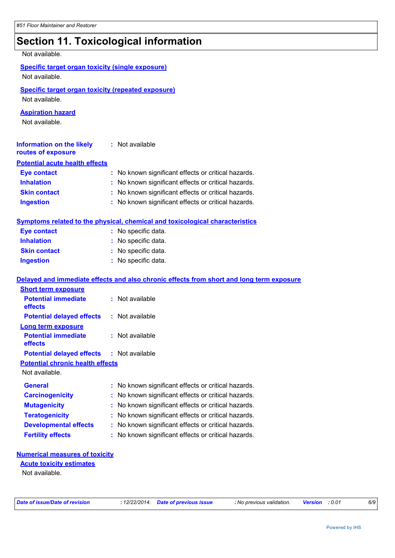# **Section 11. Toxicological information**

Not available.

| <b>Specific target organ toxicity (single exposure)</b> |  |
|---------------------------------------------------------|--|
| Not available.                                          |  |

### **Specific target organ toxicity (repeated exposure)**

Not available.

### **Aspiration hazard**

Not available.

| <b>Information on the likely</b><br>routes of exposure | : Not available                                     |
|--------------------------------------------------------|-----------------------------------------------------|
| <b>Potential acute health effects</b>                  |                                                     |
| <b>Eye contact</b>                                     | : No known significant effects or critical hazards. |
| <b>Inhalation</b>                                      | : No known significant effects or critical hazards. |
| <b>Skin contact</b>                                    | : No known significant effects or critical hazards. |
| <b>Ingestion</b>                                       | : No known significant effects or critical hazards. |

#### **Symptoms related to the physical, chemical and toxicological characteristics**

| <b>Eye contact</b>  | : No specific data. |
|---------------------|---------------------|
| <b>Inhalation</b>   | : No specific data. |
| <b>Skin contact</b> | : No specific data. |
| <b>Ingestion</b>    | : No specific data. |

### **Delayed and immediate effects and also chronic effects from short and long term exposure**

| <b>Short term exposure</b>                       |  |                                                     |  |  |
|--------------------------------------------------|--|-----------------------------------------------------|--|--|
| <b>Potential immediate</b><br>effects            |  | : Not available                                     |  |  |
| <b>Potential delayed effects</b>                 |  | : Not available                                     |  |  |
| <b>Long term exposure</b>                        |  |                                                     |  |  |
| <b>Potential immediate</b><br>effects            |  | : Not available                                     |  |  |
| <b>Potential delayed effects : Not available</b> |  |                                                     |  |  |
| <b>Potential chronic health effects</b>          |  |                                                     |  |  |
| Not available.                                   |  |                                                     |  |  |
| <b>General</b>                                   |  | : No known significant effects or critical hazards. |  |  |
| <b>Carcinogenicity</b>                           |  | : No known significant effects or critical hazards. |  |  |
| <b>Mutagenicity</b>                              |  | : No known significant effects or critical hazards. |  |  |
| <b>Teratogenicity</b>                            |  | : No known significant effects or critical hazards. |  |  |
| <b>Developmental effects</b>                     |  | : No known significant effects or critical hazards. |  |  |
| <b>Fertility effects</b>                         |  | : No known significant effects or critical hazards. |  |  |

#### **Numerical measures of toxicity**

#### Not available. **Acute toxicity estimates**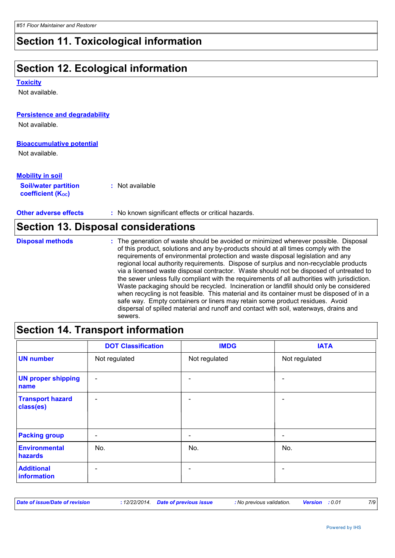### **Section 11. Toxicological information**

### **Section 12. Ecological information**

#### **Toxicity**

Not available.

### **Persistence and degradability**

Not available.

### **Bioaccumulative potential**

Not available.

| <b>Mobility in soil</b>                                       |                 |
|---------------------------------------------------------------|-----------------|
| <b>Soil/water partition</b><br>coefficient (K <sub>oc</sub> ) | : Not available |

**Other adverse effects** : No known significant effects or critical hazards.

| <b>Section 13. Disposal considerations</b> |                                                                                                                                                                                                                                                                                                                                                                                                                                                                                                                                                                                                                                                                                                                                                                                                                                                                                                                            |  |  |
|--------------------------------------------|----------------------------------------------------------------------------------------------------------------------------------------------------------------------------------------------------------------------------------------------------------------------------------------------------------------------------------------------------------------------------------------------------------------------------------------------------------------------------------------------------------------------------------------------------------------------------------------------------------------------------------------------------------------------------------------------------------------------------------------------------------------------------------------------------------------------------------------------------------------------------------------------------------------------------|--|--|
| <b>Disposal methods</b>                    | : The generation of waste should be avoided or minimized wherever possible. Disposal<br>of this product, solutions and any by-products should at all times comply with the<br>requirements of environmental protection and waste disposal legislation and any<br>regional local authority requirements. Dispose of surplus and non-recyclable products<br>via a licensed waste disposal contractor. Waste should not be disposed of untreated to<br>the sewer unless fully compliant with the requirements of all authorities with jurisdiction.<br>Waste packaging should be recycled. Incineration or landfill should only be considered<br>when recycling is not feasible. This material and its container must be disposed of in a<br>safe way. Empty containers or liners may retain some product residues. Avoid<br>dispersal of spilled material and runoff and contact with soil, waterways, drains and<br>sewers. |  |  |

### **Section 14. Transport information**

|                                      | <b>DOT Classification</b> | <b>IMDG</b>   | <b>IATA</b>                  |
|--------------------------------------|---------------------------|---------------|------------------------------|
| <b>UN number</b>                     | Not regulated             | Not regulated | Not regulated                |
| <b>UN proper shipping</b><br>name    | $\overline{\phantom{a}}$  |               | $\blacksquare$               |
| <b>Transport hazard</b><br>class(es) | $\overline{\phantom{a}}$  |               | $\overline{\phantom{0}}$     |
| <b>Packing group</b>                 | $\overline{\phantom{a}}$  |               | $\qquad \qquad \blacksquare$ |
| Environmental<br>hazards             | No.                       | No.           | No.                          |
| <b>Additional</b><br>information     | $\overline{\phantom{0}}$  |               | $\blacksquare$               |

| Date of issue/Date of revision |  | : 12/22/2014. Date of previous issue | : No previous validation. | <b>Version</b> : 0.01 |  |  |
|--------------------------------|--|--------------------------------------|---------------------------|-----------------------|--|--|
|--------------------------------|--|--------------------------------------|---------------------------|-----------------------|--|--|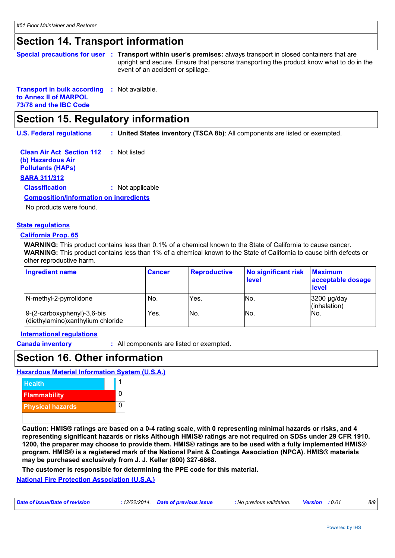### **Section 14. Transport information**

|  | Special precautions for user : Transport within user's premises: always transport in closed containers that are<br>upright and secure. Ensure that persons transporting the product know what to do in the |
|--|------------------------------------------------------------------------------------------------------------------------------------------------------------------------------------------------------------|
|  | event of an accident or spillage.                                                                                                                                                                          |

**Transport in bulk according :** Not available. **to Annex II of MARPOL 73/78 and the IBC Code**

### **Section 15. Regulatory information**

**U.S. Federal regulations : United States inventory (TSCA 8b)**: All components are listed or exempted.

**Clean Air Act Section 112 (b) Hazardous Air Pollutants (HAPs) :** Not listed **SARA 311/312 Classification :** Not applicable **Composition/information on ingredients**

No products were found.

### **State regulations**

#### **California Prop. 65**

**WARNING:** This product contains less than 0.1% of a chemical known to the State of California to cause cancer. **WARNING:** This product contains less than 1% of a chemical known to the State of California to cause birth defects or other reproductive harm.

| <b>Ingredient name</b>                                              | <b>Cancer</b> | <b>Reproductive</b> | No significant risk<br>level | <b>Maximum</b><br>acceptable dosage<br>level |
|---------------------------------------------------------------------|---------------|---------------------|------------------------------|----------------------------------------------|
| N-methyl-2-pyrrolidone                                              | No.           | Yes.                | No.                          | 3200 µg/day<br>(inhalation)                  |
| $ 9-(2-carboxyphenyl)-3,6-bis$<br>(diethylamino)xanthylium chloride | Yes.          | INo.                | No.                          | No.                                          |

#### **International regulations**

**Canada inventory :** All components are listed or exempted.

### **Section 16. Other information**

**Hazardous Material Information System (U.S.A.)**



**Caution: HMIS® ratings are based on a 0-4 rating scale, with 0 representing minimal hazards or risks, and 4 representing significant hazards or risks Although HMIS® ratings are not required on SDSs under 29 CFR 1910. 1200, the preparer may choose to provide them. HMIS® ratings are to be used with a fully implemented HMIS® program. HMIS® is a registered mark of the National Paint & Coatings Association (NPCA). HMIS® materials may be purchased exclusively from J. J. Keller (800) 327-6868.**

**The customer is responsible for determining the PPE code for this material.**

**National Fire Protection Association (U.S.A.)**

| Date of issue/Date of revision | : 12/22/2014  Date of previous issue | : No previous validation. | <b>Version</b> : 0.01 |  |
|--------------------------------|--------------------------------------|---------------------------|-----------------------|--|
|                                |                                      |                           |                       |  |